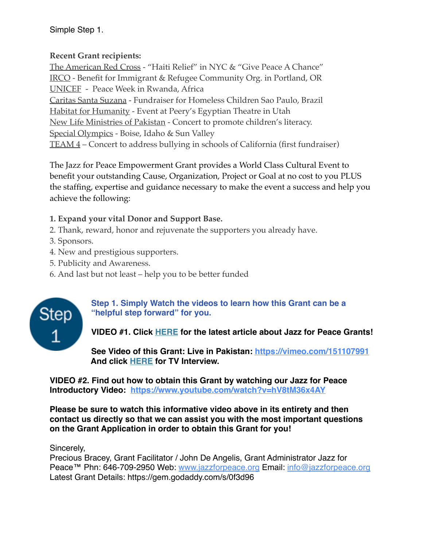Simple Step 1.

## **Recent Grant recipients:**

[The American Red Cross](http://www.jazzforpeace.org/redcrossflyer.pdf) - "Haiti Relief" in NYC & "Give Peace A Chance" [IRCO](http://www.jazzforpeace.org/irco.html) - Benefit for Immigrant & Refugee Community Org. in Portland, OR [UNICEF](http://www.jazzforpeace.org/africaevent) - Peace Week in Rwanda, Africa [Caritas Santa Suzana](http://jazzforpeace.org/brazil09) - Fundraiser for Homeless Children Sao Paulo, Brazil [Habitat for Humanity](http://www.jazzforpeace.org/hfh.htm) - Event at Peery's Egyptian Theatre in Utah [New Life Ministries of Pakistan](http://jazzforpeace.org/pakistanfastfacts.pdf) - Concert to promote children's literacy. [Special Olympics](http://www.jazzforpeace.org/grant/IdahoM.htm) - Boise, Idaho & Sun Valley [TEAM 4](http://jazzforpeace.org/team4.pdf) – Concert to address bullying in schools of California (first fundraiser)

The Jazz for Peace Empowerment Grant provides a World Class Cultural Event to benefit your outstanding Cause, Organization, Project or Goal at no cost to you PLUS the staffing, expertise and guidance necessary to make the event a success and help you achieve the following:

## **1. Expand your vital Donor and Support Base.**

- 2. Thank, reward, honor and rejuvenate the supporters you already have.
- 3. Sponsors.
- 4. New and prestigious supporters.
- 5. Publicity and Awareness.
- 6. And last but not least help you to be better funded



## **Step 1. Simply Watch the videos to learn how this Grant can be a "helpful step forward" for you.**

# **VIDEO #1. Click [HERE](http://www.local802afm.org/2016/07/letter-from-lahore/) for the latest article about Jazz for Peace Grants!**

**See Video of this Grant: Live in Pakistan:<https://vimeo.com/151107991> And click [HERE](https://vimeo.com/156977100) for TV Interview.**

**VIDEO #2. Find out how to obtain this Grant by watching our Jazz for Peace Introductory Video: <https://www.youtube.com/watch?v=hV8tM36x4AY>**

**Please be sure to watch this informative video above in its entirety and then contact us directly so that we can assist you with the most important questions on the Grant Application in order to obtain this Grant for you!**

#### Sincerely,

Precious Bracey, Grant Facilitator / John De Angelis, Grant Administrator Jazz for Peace™ Phn: 646-709-2950 Web: [www.jazzforpeace.org](http://www.jazzforpeace.org/) Email: [info@jazzforpeace.org](mailto:info@jazzforpeace.org) Latest Grant Details: <https://gem.godaddy.com/s/0f3d96>